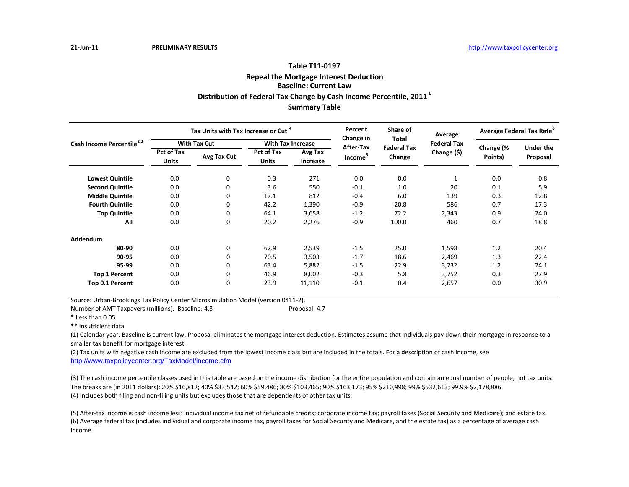## **Table T11‐0197**

# **Distribution of Federal Tax Change by Cash Income Percentile, <sup>2011</sup> <sup>1</sup> Summary Table Repeal the Mortgage Interest Deduction Baseline: Current Law**

#### **Lowest Quintile** 0.0 0 0.3 271 0.0 0.0 1 0.0 0.8 **Second Quintile d Quintile** 0.0 0 3.6 550 -0.1 1.0 20 0.1 5.9 **Middlee Quintile** 0.0 0 17.1 812 -0.4 6.0 139 0.3 12.8 **Fourthh Quintile** 0.0 0 42.2 1,390 -0.9 20.8 586 0.7 17.3 **Top Quintile** 0.0 0 64.1 3,658 ‐1.2 72.2 2,343 0.9 24.0 **All** 0.0 0 20.2 2,276 ‐0.9 100.0 460 0.7 18.8 **Addendum80‐90** 0.0 0 62.9 2,539 ‐1.5 25.0 1,598 1.2 20.4 **90‐95** 0.0 0 70.5 3,503 ‐1.7 18.6 2,469 1.3 22.4 **95‐99** 0.0 0 63.4 5,882 ‐1.5 22.9 3,732 1.2 24.1 **Top 1 Percent** 0.0 0 46.9 8,002 ‐0.3 5.8 3,752 0.3 27.9 **Top 0.1 Percent** 0.0 0 23.9 11,110 -0.1 0.4 2,657 0.0 30.9 **Cash Income Percentile2,3 Tax Units with Tax Increase or Cut <sup>4</sup> Percent Change in After‐Tax Income<sup>5</sup> Share of Total Federal TaxChange Average Federal TaxChange (\$) Average Federal Tax Rate<sup>6</sup> WithTax Cut**<br> **Change (%)** Changee **Change Change Change Change Change Change Change Change Change Change Change Change Change Change Change Change Change Change Change Change Change Points) Under the**Pct of Tax **Proposal Accord Proposal Accord Proposal Proposal Change (\$) Proposal Proposal Change (\$) Proposal<br>Units Units Increase Income<sup>5</sup> Change Change Points) Proposal Avg Tax Cut Pct of Tax Units Avg Tax Increase**Increase

Source: Urban‐Brookings Tax Policy Center Microsimulation Model (version 0411‐2).

Number of AMT Taxpayers (millions). Baseline: 4.3 Proposal: 4.7

\* Less than 0.05

\*\* Insufficient data

(1) Calendar year. Baseline is current law. Proposal eliminates the mortgage interest deduction. Estimates assume that individuals pay down their mortgage in response to <sup>a</sup> smaller tax benefit for mortgage interest.

(2) Tax units with negative cash income are excluded from the lowest income class but are included in the totals. For <sup>a</sup> description of cash income, see http://www.taxpolicycenter.org/TaxModel/income.cfm

(3) The cash income percentile classes used in this table are based on the income distribution for the entire population and contain an equal number of people, not tax units. The breaks are (in 2011 dollars): 20% \$16,812; 40% \$33,542; 60% \$59,486; 80% \$103,465; 90% \$163,173; 95% \$210,998; 99% \$532,613; 99.9% \$2,178,886. (4) Includes both filing and non‐filing units but excludes those that are dependents of other tax units.

(5) After‐tax income is cash income less: individual income tax net of refundable credits; corporate income tax; payroll taxes (Social Security and Medicare); and estate tax. (6) Average federal tax (includes individual and corporate income tax, payroll taxes for Social Security and Medicare, and the estate tax) as <sup>a</sup> percentage of average cash income.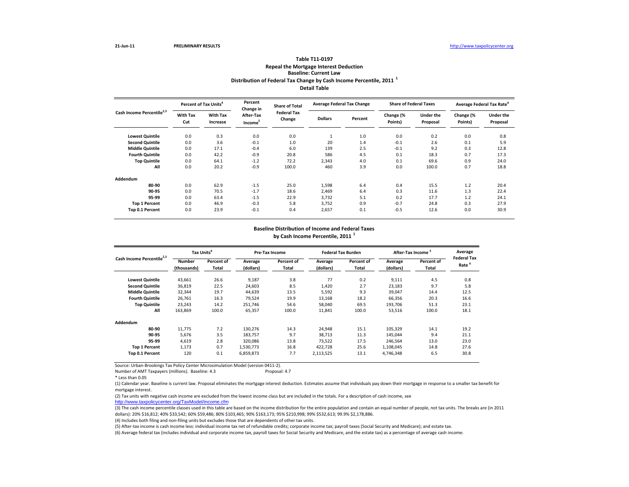### **Detail TableTable T11‐0197Repeal the Mortgage Interest Deduction Baseline: Current LawDistribution of Federal Tax Change by Cash Income Percentile, <sup>2011</sup> <sup>1</sup>**

|                                       | Percent of Tax Units <sup>4</sup> |                             | Percent<br><b>Share of Total</b><br>Change in |                              | <b>Average Federal Tax Change</b> |         |                      | <b>Share of Federal Taxes</b> | Average Federal Tax Rate <sup>6</sup> |                              |  |
|---------------------------------------|-----------------------------------|-----------------------------|-----------------------------------------------|------------------------------|-----------------------------------|---------|----------------------|-------------------------------|---------------------------------------|------------------------------|--|
| Cash Income Percentile <sup>2,3</sup> | <b>With Tax</b><br>Cut            | <b>With Tax</b><br>Increase | After-Tax<br>Income <sup>5</sup>              | <b>Federal Tax</b><br>Change | <b>Dollars</b>                    | Percent | Change (%<br>Points) | <b>Under the</b><br>Proposal  | Change (%<br>Points)                  | <b>Under the</b><br>Proposal |  |
| <b>Lowest Quintile</b>                | 0.0                               | 0.3                         | 0.0                                           | 0.0                          | $\mathbf{1}$                      | 1.0     | 0.0                  | 0.2                           | 0.0                                   | 0.8                          |  |
| <b>Second Quintile</b>                | 0.0                               | 3.6                         | $-0.1$                                        | 1.0                          | 20                                | 1.4     | $-0.1$               | 2.6                           | 0.1                                   | 5.9                          |  |
| <b>Middle Quintile</b>                | 0.0                               | 17.1                        | $-0.4$                                        | 6.0                          | 139                               | 2.5     | $-0.1$               | 9.2                           | 0.3                                   | 12.8                         |  |
| <b>Fourth Quintile</b>                | 0.0                               | 42.2                        | $-0.9$                                        | 20.8                         | 586                               | 4.5     | 0.1                  | 18.3                          | 0.7                                   | 17.3                         |  |
| <b>Top Quintile</b>                   | 0.0                               | 64.1                        | $-1.2$                                        | 72.2                         | 2,343                             | 4.0     | 0.1                  | 69.6                          | 0.9                                   | 24.0                         |  |
| All                                   | 0.0                               | 20.2                        | $-0.9$                                        | 100.0                        | 460                               | 3.9     | 0.0                  | 100.0                         | 0.7                                   | 18.8                         |  |
| Addendum                              |                                   |                             |                                               |                              |                                   |         |                      |                               |                                       |                              |  |
| 80-90                                 | 0.0                               | 62.9                        | $-1.5$                                        | 25.0                         | 1,598                             | 6.4     | 0.4                  | 15.5                          | 1.2                                   | 20.4                         |  |
| 90-95                                 | 0.0                               | 70.5                        | $-1.7$                                        | 18.6                         | 2,469                             | 6.4     | 0.3                  | 11.6                          | 1.3                                   | 22.4                         |  |
| 95-99                                 | 0.0                               | 63.4                        | $-1.5$                                        | 22.9                         | 3,732                             | 5.1     | 0.2                  | 17.7                          | 1.2                                   | 24.1                         |  |
| <b>Top 1 Percent</b>                  | 0.0                               | 46.9                        | $-0.3$                                        | 5.8                          | 3,752                             | 0.9     | $-0.7$               | 24.8                          | 0.3                                   | 27.9                         |  |
| Top 0.1 Percent                       | 0.0                               | 23.9                        | $-0.1$                                        | 0.4                          | 2,657                             | 0.1     | $-0.5$               | 12.6                          | 0.0                                   | 30.9                         |  |

#### **Baseline Distribution of Income and Federal Taxes**

**by Cash Income Percentile, <sup>2011</sup> <sup>1</sup>**

| Cash Income Percentile <sup>2,3</sup> | Tax Units <sup>4</sup> |            |           | Pre-Tax Income |           | <b>Federal Tax Burden</b> |           | After-Tax Income <sup>5</sup> | Average<br><b>Federal Tax</b> |
|---------------------------------------|------------------------|------------|-----------|----------------|-----------|---------------------------|-----------|-------------------------------|-------------------------------|
|                                       | <b>Number</b>          | Percent of | Average   | Percent of     | Average   | Percent of                | Average   | Percent of                    |                               |
|                                       | (thousands)            | Total      | (dollars) | Total          | (dollars) | Total                     | (dollars) | Total                         | Rate <sup>6</sup>             |
| <b>Lowest Quintile</b>                | 43,661                 | 26.6       | 9,187     | 3.8            | 77        | 0.2                       | 9,111     | 4.5                           | 0.8                           |
| <b>Second Quintile</b>                | 36,819                 | 22.5       | 24,603    | 8.5            | 1,420     | 2.7                       | 23,183    | 9.7                           | 5.8                           |
| <b>Middle Quintile</b>                | 32,344                 | 19.7       | 44,639    | 13.5           | 5,592     | 9.3                       | 39,047    | 14.4                          | 12.5                          |
| <b>Fourth Quintile</b>                | 26,761                 | 16.3       | 79,524    | 19.9           | 13,168    | 18.2                      | 66,356    | 20.3                          | 16.6                          |
| <b>Top Quintile</b>                   | 23.243                 | 14.2       | 251.746   | 54.6           | 58,040    | 69.5                      | 193,706   | 51.3                          | 23.1                          |
| All                                   | 163,869                | 100.0      | 65,357    | 100.0          | 11,841    | 100.0                     | 53,516    | 100.0                         | 18.1                          |
| Addendum                              |                        |            |           |                |           |                           |           |                               |                               |
| 80-90                                 | 11.775                 | 7.2        | 130,276   | 14.3           | 24,948    | 15.1                      | 105,329   | 14.1                          | 19.2                          |
| 90-95                                 | 5,676                  | 3.5        | 183.757   | 9.7            | 38,713    | 11.3                      | 145,044   | 9.4                           | 21.1                          |
| 95-99                                 | 4,619                  | 2.8        | 320,086   | 13.8           | 73,522    | 17.5                      | 246,564   | 13.0                          | 23.0                          |
| <b>Top 1 Percent</b>                  | 1.173                  | 0.7        | 1,530,773 | 16.8           | 422.728   | 25.6                      | 1,108,045 | 14.8                          | 27.6                          |
| Top 0.1 Percent                       | 120                    | 0.1        | 6,859,873 | 7.7            | 2,113,525 | 13.1                      | 4,746,348 | 6.5                           | 30.8                          |

Source: Urban‐Brookings Tax Policy Center Microsimulation Model (version 0411‐2).

Number of AMT Taxpayers (millions). Baseline: 4.3 Proposal: 4.7

(1) Calendar year. Baseline is current law. Proposal eliminates the mortgage interest deduction. Estimates assume that individuals pay down their mortgage in response to <sup>a</sup> smaller tax benefit for mortgage interest.

(2) Tax units with negative cash income are excluded from the lowest income class but are included in the totals. For <sup>a</sup> description of cash income, see

http://www.taxpolicycenter.org/TaxModel/income.cfm

(3) The cash income percentile classes used in this table are based on the income distribution for the entire population and contain an equal number of people, not tax units. The breaks are (in 2011 dollars): 20% \$16,812; 40% \$33,542; 60% \$59,486; 80% \$103,465; 90% \$163,173; 95% \$210,998; 99% \$532,613; 99.9% \$2,178,886.

(4) Includes both filing and non‐filing units but excludes those that are dependents of other tax units.

(5) After‐tax income is cash income less: individual income tax net of refundable credits; corporate income tax; payroll taxes (Social Security and Medicare); and estate tax.

<sup>\*</sup> Less than 0.05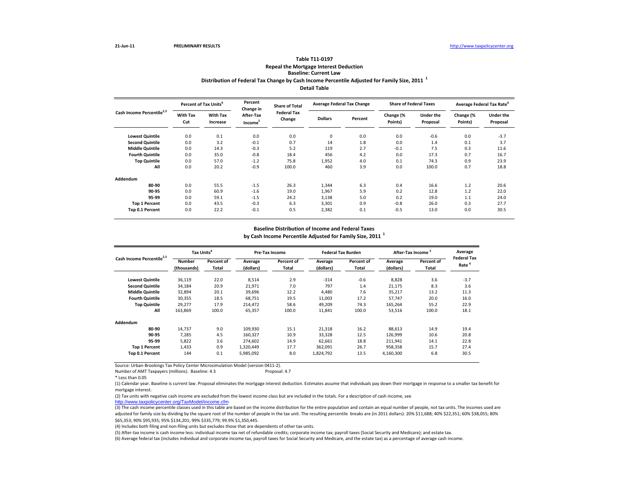### **Distribution of Federal Tax Change by Cash Income Percentile Adjusted for Family Size, <sup>2011</sup> <sup>1</sup> Detail TableTable T11‐0197Repeal the Mortgage Interest Deduction Baseline: Current Law**

|                                       | Percent of Tax Units <sup>4</sup> |                             | Percent<br><b>Share of Total</b><br>Change in |                              |                | <b>Average Federal Tax Change</b> |                      | <b>Share of Federal Taxes</b> | Average Federal Tax Rate <sup>o</sup> |                              |
|---------------------------------------|-----------------------------------|-----------------------------|-----------------------------------------------|------------------------------|----------------|-----------------------------------|----------------------|-------------------------------|---------------------------------------|------------------------------|
| Cash Income Percentile <sup>2,3</sup> | <b>With Tax</b><br>Cut            | <b>With Tax</b><br>Increase | After-Tax<br>Income <sup>5</sup>              | <b>Federal Tax</b><br>Change | <b>Dollars</b> | Percent                           | Change (%<br>Points) | <b>Under the</b><br>Proposal  | Change (%<br>Points)                  | <b>Under the</b><br>Proposal |
| <b>Lowest Quintile</b>                | 0.0                               | 0.1                         | 0.0                                           | 0.0                          | $\mathbf 0$    | 0.0                               | 0.0                  | $-0.6$                        | 0.0                                   | $-3.7$                       |
| <b>Second Quintile</b>                | 0.0                               | 3.2                         | $-0.1$                                        | 0.7                          | 14             | 1.8                               | 0.0                  | 1.4                           | 0.1                                   | 3.7                          |
| <b>Middle Quintile</b>                | 0.0                               | 14.3                        | $-0.3$                                        | 5.2                          | 119            | 2.7                               | $-0.1$               | 7.5                           | 0.3                                   | 11.6                         |
| <b>Fourth Quintile</b>                | 0.0                               | 35.0                        | $-0.8$                                        | 18.4                         | 456            | 4.2                               | 0.0                  | 17.3                          | 0.7                                   | 16.7                         |
| <b>Top Quintile</b>                   | 0.0                               | 57.0                        | $-1.2$                                        | 75.8                         | 1,952          | 4.0                               | 0.1                  | 74.3                          | 0.9                                   | 23.9                         |
| All                                   | 0.0                               | 20.2                        | $-0.9$                                        | 100.0                        | 460            | 3.9                               | 0.0                  | 100.0                         | 0.7                                   | 18.8                         |
| Addendum                              |                                   |                             |                                               |                              |                |                                   |                      |                               |                                       |                              |
| 80-90                                 | 0.0                               | 55.5                        | $-1.5$                                        | 26.3                         | 1,344          | 6.3                               | 0.4                  | 16.6                          | 1.2                                   | 20.6                         |
| 90-95                                 | 0.0                               | 60.9                        | $-1.6$                                        | 19.0                         | 1,967          | 5.9                               | 0.2                  | 12.8                          | 1.2                                   | 22.0                         |
| 95-99                                 | 0.0                               | 59.1                        | $-1.5$                                        | 24.2                         | 3,138          | 5.0                               | 0.2                  | 19.0                          | 1.1                                   | 24.0                         |
| <b>Top 1 Percent</b>                  | 0.0                               | 43.5                        | $-0.3$                                        | 6.3                          | 3,301          | 0.9                               | $-0.8$               | 26.0                          | 0.3                                   | 27.7                         |
| Top 0.1 Percent                       | 0.0                               | 22.2                        | $-0.1$                                        | 0.5                          | 2,382          | 0.1                               | $-0.5$               | 13.0                          | 0.0                                   | 30.5                         |

#### **Baseline Distribution of Income and Federal Taxes**

**by Cash Income Percentile Adjusted for Family Size, <sup>2011</sup> <sup>1</sup>**

| Cash Income Percentile <sup>2,3</sup> | Tax Units <sup>4</sup> |            | Pre-Tax Income |            |           | <b>Federal Tax Burden</b> |           | After-Tax Income <sup>5</sup> | Average            |
|---------------------------------------|------------------------|------------|----------------|------------|-----------|---------------------------|-----------|-------------------------------|--------------------|
|                                       | <b>Number</b>          | Percent of | Average        | Percent of | Average   | Percent of                | Average   | Percent of                    | <b>Federal Tax</b> |
|                                       | (thousands)            | Total      | (dollars)      | Total      | (dollars) | Total                     | (dollars) | Total                         | Rate <sup>6</sup>  |
| <b>Lowest Quintile</b>                | 36,119                 | 22.0       | 8,514          | 2.9        | $-314$    | $-0.6$                    | 8,828     | 3.6                           | $-3.7$             |
| <b>Second Quintile</b>                | 34,184                 | 20.9       | 21,971         | 7.0        | 797       | 1.4                       | 21,175    | 8.3                           | 3.6                |
| <b>Middle Quintile</b>                | 32,894                 | 20.1       | 39.696         | 12.2       | 4.480     | 7.6                       | 35,217    | 13.2                          | 11.3               |
| <b>Fourth Quintile</b>                | 30,355                 | 18.5       | 68.751         | 19.5       | 11,003    | 17.2                      | 57,747    | 20.0                          | 16.0               |
| <b>Top Quintile</b>                   | 29,277                 | 17.9       | 214.472        | 58.6       | 49.209    | 74.3                      | 165,264   | 55.2                          | 22.9               |
| All                                   | 163,869                | 100.0      | 65,357         | 100.0      | 11,841    | 100.0                     | 53,516    | 100.0                         | 18.1               |
| Addendum                              |                        |            |                |            |           |                           |           |                               |                    |
| 80-90                                 | 14,737                 | 9.0        | 109,930        | 15.1       | 21,318    | 16.2                      | 88,613    | 14.9                          | 19.4               |
| 90-95                                 | 7.285                  | 4.5        | 160.327        | 10.9       | 33,328    | 12.5                      | 126,999   | 10.6                          | 20.8               |
| 95-99                                 | 5,822                  | 3.6        | 274,602        | 14.9       | 62,661    | 18.8                      | 211,941   | 14.1                          | 22.8               |
| <b>Top 1 Percent</b>                  | 1.433                  | 0.9        | 1,320,449      | 17.7       | 362.091   | 26.7                      | 958.358   | 15.7                          | 27.4               |
| Top 0.1 Percent                       | 144                    | 0.1        | 5,985,092      | 8.0        | 1,824,792 | 13.5                      | 4,160,300 | 6.8                           | 30.5               |

Source: Urban‐Brookings Tax Policy Center Microsimulation Model (version 0411‐2).

Number of AMT Taxpayers (millions). Baseline: 4.3 Proposal: 4.7

(1) Calendar year. Baseline is current law. Proposal eliminates the mortgage interest deduction. Estimates assume that individuals pay down their mortgage in response to <sup>a</sup> smaller tax benefit for mortgage interest.

(2) Tax units with negative cash income are excluded from the lowest income class but are included in the totals. For <sup>a</sup> description of cash income, see

http://www.taxpolicycenter.org/TaxModel/income.cfm

(3) The cash income percentile classes used in this table are based on the income distribution for the entire population and contain an equal number of people, not tax units. The incomes used are adjusted for family size by dividing by the square root of the number of people in the tax unit. The resulting percentile breaks are (in 2011 dollars): 20% \$11,688; 40% \$22,351; 60% \$38,055; 80% \$65,353; 90% \$95,935; 95% \$134,201; 99% \$335,779; 99.9% \$1,350,445.

(4) Includes both filing and non‐filing units but excludes those that are dependents of other tax units.

(5) After‐tax income is cash income less: individual income tax net of refundable credits; corporate income tax; payroll taxes (Social Security and Medicare); and estate tax.

<sup>\*</sup> Less than 0.05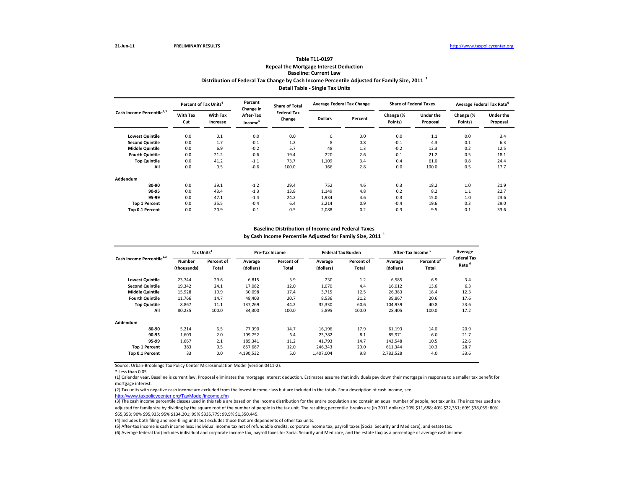### **Distribution of Federal Tax Change by Cash Income Percentile Adjusted for Family Size, <sup>2011</sup> <sup>1</sup> Detail Table ‐ Single Tax Units Table T11‐0197Repeal the Mortgage Interest Deduction Baseline: Current Law**

|                                       | Percent of Tax Units <sup>4</sup> |                             | Percent<br>Change in             | <b>Share of Total</b>        | <b>Average Federal Tax Change</b> |         | <b>Share of Federal Taxes</b> |                              | Average Federal Tax Rate <sup>6</sup> |                              |
|---------------------------------------|-----------------------------------|-----------------------------|----------------------------------|------------------------------|-----------------------------------|---------|-------------------------------|------------------------------|---------------------------------------|------------------------------|
| Cash Income Percentile <sup>2,3</sup> | <b>With Tax</b><br>Cut            | <b>With Tax</b><br>Increase | After-Tax<br>Income <sup>5</sup> | <b>Federal Tax</b><br>Change | <b>Dollars</b>                    | Percent | Change (%<br>Points)          | <b>Under the</b><br>Proposal | Change (%<br>Points)                  | <b>Under the</b><br>Proposal |
| <b>Lowest Quintile</b>                | 0.0                               | 0.1                         | 0.0                              | 0.0                          | 0                                 | 0.0     | 0.0                           | 1.1                          | 0.0                                   | 3.4                          |
| <b>Second Quintile</b>                | 0.0                               | 1.7                         | $-0.1$                           | 1.2                          | 8                                 | 0.8     | $-0.1$                        | 4.3                          | 0.1                                   | 6.3                          |
| <b>Middle Quintile</b>                | 0.0                               | 6.9                         | $-0.2$                           | 5.7                          | 48                                | 1.3     | $-0.2$                        | 12.3                         | 0.2                                   | 12.5                         |
| <b>Fourth Quintile</b>                | 0.0                               | 21.2                        | $-0.6$                           | 19.4                         | 220                               | 2.6     | $-0.1$                        | 21.2                         | 0.5                                   | 18.1                         |
| <b>Top Quintile</b>                   | 0.0                               | 41.2                        | $-1.1$                           | 73.7                         | 1,109                             | 3.4     | 0.4                           | 61.0                         | 0.8                                   | 24.4                         |
| All                                   | 0.0                               | 9.5                         | $-0.6$                           | 100.0                        | 166                               | 2.8     | 0.0                           | 100.0                        | 0.5                                   | 17.7                         |
| Addendum                              |                                   |                             |                                  |                              |                                   |         |                               |                              |                                       |                              |
| 80-90                                 | 0.0                               | 39.1                        | $-1.2$                           | 29.4                         | 752                               | 4.6     | 0.3                           | 18.2                         | 1.0                                   | 21.9                         |
| 90-95                                 | 0.0                               | 43.4                        | $-1.3$                           | 13.8                         | 1,149                             | 4.8     | 0.2                           | 8.2                          | 1.1                                   | 22.7                         |
| 95-99                                 | 0.0                               | 47.1                        | $-1.4$                           | 24.2                         | 1,934                             | 4.6     | 0.3                           | 15.0                         | 1.0                                   | 23.6                         |
| <b>Top 1 Percent</b>                  | 0.0                               | 35.5                        | $-0.4$                           | 6.4                          | 2,214                             | 0.9     | $-0.4$                        | 19.6                         | 0.3                                   | 29.0                         |
| Top 0.1 Percent                       | 0.0                               | 20.9                        | $-0.1$                           | 0.5                          | 2,088                             | 0.2     | $-0.3$                        | 9.5                          | 0.1                                   | 33.6                         |

#### **Baseline Distribution of Income and Federal Taxes**

**by Cash Income Percentile Adjusted for Family Size, <sup>2011</sup> <sup>1</sup>**

| Cash Income Percentile <sup>2,3</sup> |               | Tax Units <sup>4</sup> |           | Pre-Tax Income |           | <b>Federal Tax Burden</b> | After-Tax Income <sup>5</sup> | Average    |                    |
|---------------------------------------|---------------|------------------------|-----------|----------------|-----------|---------------------------|-------------------------------|------------|--------------------|
|                                       | <b>Number</b> | Percent of             | Average   | Percent of     | Average   | Percent of                | Average                       | Percent of | <b>Federal Tax</b> |
|                                       | (thousands)   | Total                  | (dollars) | Total          | (dollars) | Total                     | (dollars)                     | Total      | Rate <sup>6</sup>  |
| <b>Lowest Quintile</b>                | 23,744        | 29.6                   | 6,815     | 5.9            | 230       | 1.2                       | 6,585                         | 6.9        | 3.4                |
| <b>Second Quintile</b>                | 19,342        | 24.1                   | 17,082    | 12.0           | 1,070     | 4.4                       | 16,012                        | 13.6       | 6.3                |
| <b>Middle Quintile</b>                | 15,928        | 19.9                   | 30.098    | 17.4           | 3.715     | 12.5                      | 26,383                        | 18.4       | 12.3               |
| <b>Fourth Quintile</b>                | 11,766        | 14.7                   | 48.403    | 20.7           | 8,536     | 21.2                      | 39,867                        | 20.6       | 17.6               |
| <b>Top Quintile</b>                   | 8,867         | 11.1                   | 137.269   | 44.2           | 32,330    | 60.6                      | 104,939                       | 40.8       | 23.6               |
| All                                   | 80,235        | 100.0                  | 34,300    | 100.0          | 5,895     | 100.0                     | 28,405                        | 100.0      | 17.2               |
| Addendum                              |               |                        |           |                |           |                           |                               |            |                    |
| 80-90                                 | 5,214         | 6.5                    | 77,390    | 14.7           | 16,196    | 17.9                      | 61,193                        | 14.0       | 20.9               |
| 90-95                                 | 1.603         | 2.0                    | 109.752   | 6.4            | 23.782    | 8.1                       | 85,971                        | 6.0        | 21.7               |
| 95-99                                 | 1,667         | 2.1                    | 185,341   | 11.2           | 41,793    | 14.7                      | 143,548                       | 10.5       | 22.6               |
| <b>Top 1 Percent</b>                  | 383           | 0.5                    | 857.687   | 12.0           | 246.343   | 20.0                      | 611.344                       | 10.3       | 28.7               |
| Top 0.1 Percent                       | 33            | 0.0                    | 4,190,532 | 5.0            | 1,407,004 | 9.8                       | 2,783,528                     | 4.0        | 33.6               |

Source: Urban‐Brookings Tax Policy Center Microsimulation Model (version 0411‐2).

(1) Calendar year. Baseline is current law. Proposal eliminates the mortgage interest deduction. Estimates assume that individuals pay down their mortgage in response to <sup>a</sup> smaller tax benefit for mortgage interest.

(2) Tax units with negative cash income are excluded from the lowest income class but are included in the totals. For <sup>a</sup> description of cash income, see

http://www.taxpolicycenter.org/TaxModel/income.cfm

(3) The cash income percentile classes used in this table are based on the income distribution for the entire population and contain an equal number of people, not tax units. The incomes used are adjusted for family size by dividing by the square root of the number of people in the tax unit. The resulting percentile breaks are (in 2011 dollars): 20% \$11,688; 40% \$22,351; 60% \$38,055; 80% \$65,353; 90% \$95,935; 95% \$134,201; 99% \$335,779; 99.9% \$1,350,445.

(4) Includes both filing and non‐filing units but excludes those that are dependents of other tax units.

(5) After‐tax income is cash income less: individual income tax net of refundable credits; corporate income tax; payroll taxes (Social Security and Medicare); and estate tax.

<sup>\*</sup> Less than 0.05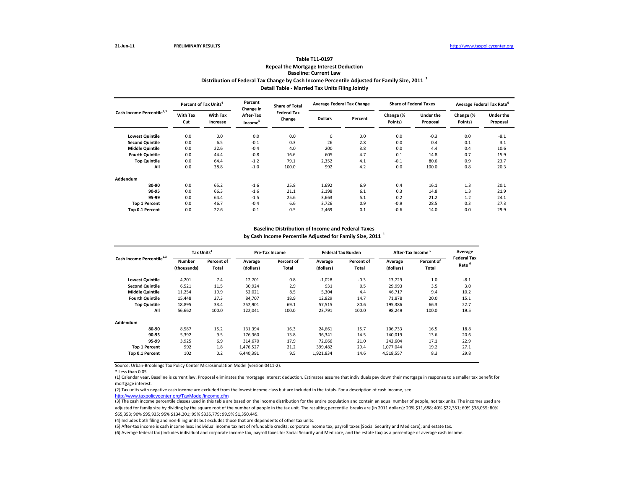### **Distribution of Federal Tax Change by Cash Income Percentile Adjusted for Family Size, <sup>2011</sup> <sup>1</sup> Detail Table ‐ Married Tax Units Filing Jointly Table T11‐0197Repeal the Mortgage Interest Deduction Baseline: Current Law**

|                                       | Percent of Tax Units <sup>4</sup> |                             | Percent<br>Change in             | <b>Share of Total</b>        | <b>Average Federal Tax Change</b> |         |                      | <b>Share of Federal Taxes</b> | Average Federal Tax Rate <sup>6</sup> |                              |
|---------------------------------------|-----------------------------------|-----------------------------|----------------------------------|------------------------------|-----------------------------------|---------|----------------------|-------------------------------|---------------------------------------|------------------------------|
| Cash Income Percentile <sup>2,3</sup> | <b>With Tax</b><br>Cut            | <b>With Tax</b><br>Increase | After-Tax<br>Income <sup>5</sup> | <b>Federal Tax</b><br>Change | <b>Dollars</b>                    | Percent | Change (%<br>Points) | <b>Under the</b><br>Proposal  | Change (%<br>Points)                  | <b>Under the</b><br>Proposal |
| <b>Lowest Quintile</b>                | 0.0                               | 0.0                         | 0.0                              | 0.0                          | $\mathbf 0$                       | 0.0     | 0.0                  | $-0.3$                        | 0.0                                   | $-8.1$                       |
| <b>Second Quintile</b>                | 0.0                               | 6.5                         | $-0.1$                           | 0.3                          | 26                                | 2.8     | 0.0                  | 0.4                           | 0.1                                   | 3.1                          |
| <b>Middle Quintile</b>                | 0.0                               | 22.6                        | $-0.4$                           | 4.0                          | 200                               | 3.8     | 0.0                  | 4.4                           | 0.4                                   | 10.6                         |
| <b>Fourth Quintile</b>                | 0.0                               | 44.4                        | $-0.8$                           | 16.6                         | 605                               | 4.7     | 0.1                  | 14.8                          | 0.7                                   | 15.9                         |
| <b>Top Quintile</b>                   | 0.0                               | 64.4                        | $-1.2$                           | 79.1                         | 2,352                             | 4.1     | $-0.1$               | 80.6                          | 0.9                                   | 23.7                         |
| All                                   | 0.0                               | 38.8                        | $-1.0$                           | 100.0                        | 992                               | 4.2     | 0.0                  | 100.0                         | 0.8                                   | 20.3                         |
| Addendum                              |                                   |                             |                                  |                              |                                   |         |                      |                               |                                       |                              |
| 80-90                                 | 0.0                               | 65.2                        | $-1.6$                           | 25.8                         | 1,692                             | 6.9     | 0.4                  | 16.1                          | 1.3                                   | 20.1                         |
| 90-95                                 | 0.0                               | 66.3                        | $-1.6$                           | 21.1                         | 2,198                             | 6.1     | 0.3                  | 14.8                          | 1.3                                   | 21.9                         |
| 95-99                                 | 0.0                               | 64.4                        | $-1.5$                           | 25.6                         | 3,663                             | 5.1     | 0.2                  | 21.2                          | 1.2                                   | 24.1                         |
| <b>Top 1 Percent</b>                  | 0.0                               | 46.7                        | $-0.4$                           | 6.6                          | 3,726                             | 0.9     | $-0.9$               | 28.5                          | 0.3                                   | 27.3                         |
| Top 0.1 Percent                       | 0.0                               | 22.6                        | $-0.1$                           | 0.5                          | 2,469                             | 0.1     | $-0.6$               | 14.0                          | 0.0                                   | 29.9                         |

#### **Baseline Distribution of Income and Federal Taxes**

**by Cash Income Percentile Adjusted for Family Size, <sup>2011</sup> <sup>1</sup>**

| Cash Income Percentile <sup>2,3</sup> | Tax Units <sup>4</sup> |            | Pre-Tax Income |            |           | <b>Federal Tax Burden</b> | After-Tax Income <sup>5</sup> | Average    |                    |
|---------------------------------------|------------------------|------------|----------------|------------|-----------|---------------------------|-------------------------------|------------|--------------------|
|                                       | <b>Number</b>          | Percent of | Average        | Percent of | Average   | Percent of                | Average                       | Percent of | <b>Federal Tax</b> |
|                                       | (thousands)            | Total      | (dollars)      | Total      | (dollars) | Total                     | (dollars)                     | Total      | Rate <sup>6</sup>  |
| <b>Lowest Quintile</b>                | 4.201                  | 7.4        | 12,701         | 0.8        | $-1,028$  | $-0.3$                    | 13,729                        | 1.0        | $-8.1$             |
| <b>Second Quintile</b>                | 6,521                  | 11.5       | 30,924         | 2.9        | 931       | 0.5                       | 29,993                        | 3.5        | 3.0                |
| <b>Middle Quintile</b>                | 11,254                 | 19.9       | 52,021         | 8.5        | 5,304     | 4.4                       | 46,717                        | 9.4        | 10.2               |
| <b>Fourth Quintile</b>                | 15,448                 | 27.3       | 84,707         | 18.9       | 12,829    | 14.7                      | 71,878                        | 20.0       | 15.1               |
| <b>Top Quintile</b>                   | 18,895                 | 33.4       | 252,901        | 69.1       | 57.515    | 80.6                      | 195,386                       | 66.3       | 22.7               |
| All                                   | 56,662                 | 100.0      | 122,041        | 100.0      | 23,791    | 100.0                     | 98,249                        | 100.0      | 19.5               |
| Addendum                              |                        |            |                |            |           |                           |                               |            |                    |
| 80-90                                 | 8,587                  | 15.2       | 131,394        | 16.3       | 24,661    | 15.7                      | 106,733                       | 16.5       | 18.8               |
| 90-95                                 | 5,392                  | 9.5        | 176.360        | 13.8       | 36,341    | 14.5                      | 140,019                       | 13.6       | 20.6               |
| 95-99                                 | 3,925                  | 6.9        | 314,670        | 17.9       | 72,066    | 21.0                      | 242,604                       | 17.1       | 22.9               |
| <b>Top 1 Percent</b>                  | 992                    | 1.8        | 1,476,527      | 21.2       | 399,482   | 29.4                      | 1,077,044                     | 19.2       | 27.1               |
| Top 0.1 Percent                       | 102                    | 0.2        | 6,440,391      | 9.5        | 1,921,834 | 14.6                      | 4,518,557                     | 8.3        | 29.8               |

Source: Urban‐Brookings Tax Policy Center Microsimulation Model (version 0411‐2).

\* Less than 0.05

(1) Calendar year. Baseline is current law. Proposal eliminates the mortgage interest deduction. Estimates assume that individuals pay down their mortgage in response to <sup>a</sup> smaller tax benefit for mortgage interest.

(2) Tax units with negative cash income are excluded from the lowest income class but are included in the totals. For <sup>a</sup> description of cash income, see

http://www.taxpolicycenter.org/TaxModel/income.cfm

(3) The cash income percentile classes used in this table are based on the income distribution for the entire population and contain an equal number of people, not tax units. The incomes used are adjusted for family size by dividing by the square root of the number of people in the tax unit. The resulting percentile breaks are (in 2011 dollars): 20% \$11,688; 40% \$22,351; 60% \$38,055; 80% \$65,353; 90% \$95,935; 95% \$134,201; 99% \$335,779; 99.9% \$1,350,445.

(4) Includes both filing and non‐filing units but excludes those that are dependents of other tax units.

(5) After‐tax income is cash income less: individual income tax net of refundable credits; corporate income tax; payroll taxes (Social Security and Medicare); and estate tax.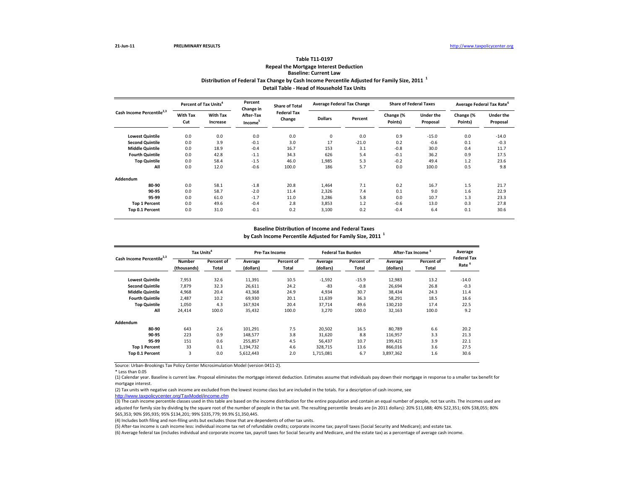### **Distribution of Federal Tax Change by Cash Income Percentile Adjusted for Family Size, <sup>2011</sup> <sup>1</sup> Detail Table ‐ Head of Household Tax Units Table T11‐0197Repeal the Mortgage Interest Deduction Baseline: Current Law**

|                                       | Percent of Tax Units <sup>4</sup> |                             | Percent<br>Change in             | <b>Share of Total</b>        | <b>Average Federal Tax Change</b> |         |                      | <b>Share of Federal Taxes</b> | Average Federal Tax Rate <sup>6</sup> |                              |
|---------------------------------------|-----------------------------------|-----------------------------|----------------------------------|------------------------------|-----------------------------------|---------|----------------------|-------------------------------|---------------------------------------|------------------------------|
| Cash Income Percentile <sup>2,3</sup> | <b>With Tax</b><br>Cut            | <b>With Tax</b><br>Increase | After-Tax<br>Income <sup>5</sup> | <b>Federal Tax</b><br>Change | <b>Dollars</b>                    | Percent | Change (%<br>Points) | <b>Under the</b><br>Proposal  | Change (%<br>Points)                  | <b>Under the</b><br>Proposal |
| <b>Lowest Quintile</b>                | 0.0                               | 0.0                         | 0.0                              | 0.0                          | $\mathbf 0$                       | 0.0     | 0.9                  | $-15.0$                       | 0.0                                   | $-14.0$                      |
| <b>Second Quintile</b>                | 0.0                               | 3.9                         | $-0.1$                           | 3.0                          | 17                                | $-21.0$ | 0.2                  | $-0.6$                        | 0.1                                   | $-0.3$                       |
| <b>Middle Quintile</b>                | 0.0                               | 18.9                        | $-0.4$                           | 16.7                         | 153                               | 3.1     | $-0.8$               | 30.0                          | 0.4                                   | 11.7                         |
| <b>Fourth Quintile</b>                | 0.0                               | 42.8                        | $-1.1$                           | 34.3                         | 626                               | 5.4     | $-0.1$               | 36.2                          | 0.9                                   | 17.5                         |
| <b>Top Quintile</b>                   | 0.0                               | 58.4                        | $-1.5$                           | 46.0                         | 1,985                             | 5.3     | $-0.2$               | 49.4                          | 1.2                                   | 23.6                         |
| All                                   | 0.0                               | 12.0                        | $-0.6$                           | 100.0                        | 186                               | 5.7     | 0.0                  | 100.0                         | 0.5                                   | 9.8                          |
| Addendum                              |                                   |                             |                                  |                              |                                   |         |                      |                               |                                       |                              |
| 80-90                                 | 0.0                               | 58.1                        | $-1.8$                           | 20.8                         | 1,464                             | 7.1     | 0.2                  | 16.7                          | 1.5                                   | 21.7                         |
| 90-95                                 | 0.0                               | 58.7                        | $-2.0$                           | 11.4                         | 2,326                             | 7.4     | 0.1                  | 9.0                           | 1.6                                   | 22.9                         |
| 95-99                                 | 0.0                               | 61.0                        | $-1.7$                           | 11.0                         | 3,286                             | 5.8     | 0.0                  | 10.7                          | 1.3                                   | 23.3                         |
| <b>Top 1 Percent</b>                  | 0.0                               | 49.6                        | $-0.4$                           | 2.8                          | 3,853                             | 1.2     | $-0.6$               | 13.0                          | 0.3                                   | 27.8                         |
| Top 0.1 Percent                       | 0.0                               | 31.0                        | $-0.1$                           | 0.2                          | 3,100                             | 0.2     | $-0.4$               | 6.4                           | 0.1                                   | 30.6                         |

#### **Baseline Distribution of Income and Federal Taxes**

**by Cash Income Percentile Adjusted for Family Size, <sup>2011</sup> <sup>1</sup>**

| Cash Income Percentile <sup>2,3</sup> | Tax Units <sup>4</sup> |            | Pre-Tax Income |            |           | <b>Federal Tax Burden</b> | After-Tax Income <sup>5</sup> | Average    |                    |
|---------------------------------------|------------------------|------------|----------------|------------|-----------|---------------------------|-------------------------------|------------|--------------------|
|                                       | <b>Number</b>          | Percent of | Average        | Percent of | Average   | Percent of                | Average                       | Percent of | <b>Federal Tax</b> |
|                                       | (thousands)            | Total      | (dollars)      | Total      | (dollars) | Total                     | (dollars)                     | Total      | Rate <sup>6</sup>  |
| <b>Lowest Quintile</b>                | 7,953                  | 32.6       | 11,391         | 10.5       | $-1,592$  | $-15.9$                   | 12,983                        | 13.2       | $-14.0$            |
| <b>Second Quintile</b>                | 7,879                  | 32.3       | 26,611         | 24.2       | $-83$     | $-0.8$                    | 26,694                        | 26.8       | $-0.3$             |
| <b>Middle Quintile</b>                | 4,968                  | 20.4       | 43,368         | 24.9       | 4,934     | 30.7                      | 38,434                        | 24.3       | 11.4               |
| <b>Fourth Quintile</b>                | 2,487                  | 10.2       | 69,930         | 20.1       | 11,639    | 36.3                      | 58,291                        | 18.5       | 16.6               |
| <b>Top Quintile</b>                   | 1.050                  | 4.3        | 167.924        | 20.4       | 37.714    | 49.6                      | 130,210                       | 17.4       | 22.5               |
| All                                   | 24,414                 | 100.0      | 35,432         | 100.0      | 3,270     | 100.0                     | 32,163                        | 100.0      | 9.2                |
| Addendum                              |                        |            |                |            |           |                           |                               |            |                    |
| 80-90                                 | 643                    | 2.6        | 101,291        | 7.5        | 20,502    | 16.5                      | 80,789                        | 6.6        | 20.2               |
| 90-95                                 | 223                    | 0.9        | 148,577        | 3.8        | 31,620    | 8.8                       | 116,957                       | 3.3        | 21.3               |
| 95-99                                 | 151                    | 0.6        | 255,857        | 4.5        | 56,437    | 10.7                      | 199,421                       | 3.9        | 22.1               |
| <b>Top 1 Percent</b>                  | 33                     | 0.1        | 1,194,732      | 4.6        | 328,715   | 13.6                      | 866,016                       | 3.6        | 27.5               |
| Top 0.1 Percent                       | $\overline{3}$         | 0.0        | 5,612,443      | 2.0        | 1,715,081 | 6.7                       | 3,897,362                     | 1.6        | 30.6               |

Source: Urban‐Brookings Tax Policy Center Microsimulation Model (version 0411‐2).

\* Less than 0.05

(1) Calendar year. Baseline is current law. Proposal eliminates the mortgage interest deduction. Estimates assume that individuals pay down their mortgage in response to <sup>a</sup> smaller tax benefit for mortgage interest.

(2) Tax units with negative cash income are excluded from the lowest income class but are included in the totals. For <sup>a</sup> description of cash income, see

http://www.taxpolicycenter.org/TaxModel/income.cfm

(3) The cash income percentile classes used in this table are based on the income distribution for the entire population and contain an equal number of people, not tax units. The incomes used are adjusted for family size by dividing by the square root of the number of people in the tax unit. The resulting percentile breaks are (in 2011 dollars): 20% \$11,688; 40% \$22,351; 60% \$38,055; 80% \$65,353; 90% \$95,935; 95% \$134,201; 99% \$335,779; 99.9% \$1,350,445.

(4) Includes both filing and non‐filing units but excludes those that are dependents of other tax units.

(5) After‐tax income is cash income less: individual income tax net of refundable credits; corporate income tax; payroll taxes (Social Security and Medicare); and estate tax.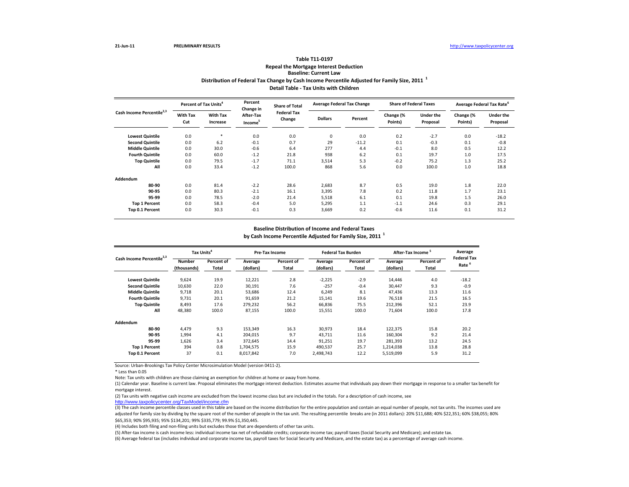### **Distribution of Federal Tax Change by Cash Income Percentile Adjusted for Family Size, <sup>2011</sup> <sup>1</sup> Detail Table ‐ Tax Units with Children Table T11‐0197Repeal the Mortgage Interest Deduction Baseline: Current Law**

|                                       | Percent of Tax Units <sup>4</sup> |                             | Percent<br><b>Share of Total</b><br>Change in |                              | <b>Average Federal Tax Change</b> |         |                      | <b>Share of Federal Taxes</b> | Average Federal Tax Rate <sup>o</sup> |                              |
|---------------------------------------|-----------------------------------|-----------------------------|-----------------------------------------------|------------------------------|-----------------------------------|---------|----------------------|-------------------------------|---------------------------------------|------------------------------|
| Cash Income Percentile <sup>2,3</sup> | <b>With Tax</b><br>Cut            | <b>With Tax</b><br>Increase | After-Tax<br>Income <sup>5</sup>              | <b>Federal Tax</b><br>Change | <b>Dollars</b>                    | Percent | Change (%<br>Points) | <b>Under the</b><br>Proposal  | Change (%<br>Points)                  | <b>Under the</b><br>Proposal |
| <b>Lowest Quintile</b>                | 0.0                               | $\ast$                      | 0.0                                           | 0.0                          | $\mathbf 0$                       | 0.0     | 0.2                  | $-2.7$                        | 0.0                                   | $-18.2$                      |
| <b>Second Quintile</b>                | 0.0                               | 6.2                         | $-0.1$                                        | 0.7                          | 29                                | $-11.2$ | 0.1                  | $-0.3$                        | 0.1                                   | $-0.8$                       |
| <b>Middle Quintile</b>                | 0.0                               | 30.0                        | $-0.6$                                        | 6.4                          | 277                               | 4.4     | $-0.1$               | 8.0                           | 0.5                                   | 12.2                         |
| <b>Fourth Quintile</b>                | 0.0                               | 60.0                        | $-1.2$                                        | 21.8                         | 938                               | 6.2     | 0.1                  | 19.7                          | 1.0                                   | 17.5                         |
| <b>Top Quintile</b>                   | 0.0                               | 79.5                        | $-1.7$                                        | 71.1                         | 3,514                             | 5.3     | $-0.2$               | 75.2                          | 1.3                                   | 25.2                         |
| All                                   | 0.0                               | 33.4                        | $-1.2$                                        | 100.0                        | 868                               | 5.6     | 0.0                  | 100.0                         | 1.0                                   | 18.8                         |
| Addendum                              |                                   |                             |                                               |                              |                                   |         |                      |                               |                                       |                              |
| 80-90                                 | 0.0                               | 81.4                        | $-2.2$                                        | 28.6                         | 2,683                             | 8.7     | 0.5                  | 19.0                          | 1.8                                   | 22.0                         |
| 90-95                                 | 0.0                               | 80.3                        | $-2.1$                                        | 16.1                         | 3,395                             | 7.8     | 0.2                  | 11.8                          | 1.7                                   | 23.1                         |
| 95-99                                 | 0.0                               | 78.5                        | $-2.0$                                        | 21.4                         | 5,518                             | 6.1     | 0.1                  | 19.8                          | 1.5                                   | 26.0                         |
| <b>Top 1 Percent</b>                  | 0.0                               | 58.3                        | $-0.4$                                        | 5.0                          | 5,295                             | 1.1     | $-1.1$               | 24.6                          | 0.3                                   | 29.1                         |
| Top 0.1 Percent                       | 0.0                               | 30.3                        | $-0.1$                                        | 0.3                          | 3,669                             | 0.2     | $-0.6$               | 11.6                          | 0.1                                   | 31.2                         |

#### **Baseline Distribution of Income and Federal Taxes**

**by Cash Income Percentile Adjusted for Family Size, <sup>2011</sup> <sup>1</sup>**

| Cash Income Percentile <sup>2,3</sup> | Tax Units <sup>4</sup> |            | Pre-Tax Income |            |           | <b>Federal Tax Burden</b> | After-Tax Income <sup>5</sup> | Average    |                    |
|---------------------------------------|------------------------|------------|----------------|------------|-----------|---------------------------|-------------------------------|------------|--------------------|
|                                       | <b>Number</b>          | Percent of | Average        | Percent of | Average   | Percent of                | Average                       | Percent of | <b>Federal Tax</b> |
|                                       | (thousands)            | Total      | (dollars)      | Total      | (dollars) | Total                     | (dollars)                     | Total      | Rate <sup>6</sup>  |
| <b>Lowest Quintile</b>                | 9.624                  | 19.9       | 12,221         | 2.8        | $-2,225$  | $-2.9$                    | 14,446                        | 4.0        | $-18.2$            |
| <b>Second Quintile</b>                | 10,630                 | 22.0       | 30,191         | 7.6        | $-257$    | $-0.4$                    | 30,447                        | 9.3        | $-0.9$             |
| <b>Middle Quintile</b>                | 9,718                  | 20.1       | 53,686         | 12.4       | 6,249     | 8.1                       | 47,436                        | 13.3       | 11.6               |
| <b>Fourth Quintile</b>                | 9,731                  | 20.1       | 91,659         | 21.2       | 15,141    | 19.6                      | 76,518                        | 21.5       | 16.5               |
| <b>Top Quintile</b>                   | 8.493                  | 17.6       | 279.232        | 56.2       | 66,836    | 75.5                      | 212,396                       | 52.1       | 23.9               |
| All                                   | 48,380                 | 100.0      | 87,155         | 100.0      | 15,551    | 100.0                     | 71.604                        | 100.0      | 17.8               |
| Addendum                              |                        |            |                |            |           |                           |                               |            |                    |
| 80-90                                 | 4.479                  | 9.3        | 153.349        | 16.3       | 30,973    | 18.4                      | 122,375                       | 15.8       | 20.2               |
| 90-95                                 | 1,994                  | 4.1        | 204.015        | 9.7        | 43,711    | 11.6                      | 160,304                       | 9.2        | 21.4               |
| 95-99                                 | 1,626                  | 3.4        | 372.645        | 14.4       | 91,251    | 19.7                      | 281,393                       | 13.2       | 24.5               |
| <b>Top 1 Percent</b>                  | 394                    | 0.8        | 1,704,575      | 15.9       | 490,537   | 25.7                      | 1,214,038                     | 13.8       | 28.8               |
| Top 0.1 Percent                       | 37                     | 0.1        | 8,017,842      | 7.0        | 2,498,743 | 12.2                      | 5,519,099                     | 5.9        | 31.2               |

Source: Urban‐Brookings Tax Policy Center Microsimulation Model (version 0411‐2).

\* Less than 0.05

Note: Tax units with children are those claiming an exemption for children at home or away from home.

(1) Calendar year. Baseline is current law. Proposal eliminates the mortgage interest deduction. Estimates assume that individuals pay down their mortgage in response to <sup>a</sup> smaller tax benefit for mortgage interest.

(2) Tax units with negative cash income are excluded from the lowest income class but are included in the totals. For <sup>a</sup> description of cash income, see

http://www.taxpolicycenter.org/TaxModel/income.cfm

(3) The cash income percentile classes used in this table are based on the income distribution for the entire population and contain an equal number of people, not tax units. The incomes used are adjusted for family size by dividing by the square root of the number of people in the tax unit. The resulting percentile breaks are (in 2011 dollars): 20% \$11,688; 40% \$22,351; 60% \$38,055; 80% \$65,353; 90% \$95,935; 95% \$134,201; 99% \$335,779; 99.9% \$1,350,445.

(4) Includes both filing and non‐filing units but excludes those that are dependents of other tax units.

(5) After‐tax income is cash income less: individual income tax net of refundable credits; corporate income tax; payroll taxes (Social Security and Medicare); and estate tax.